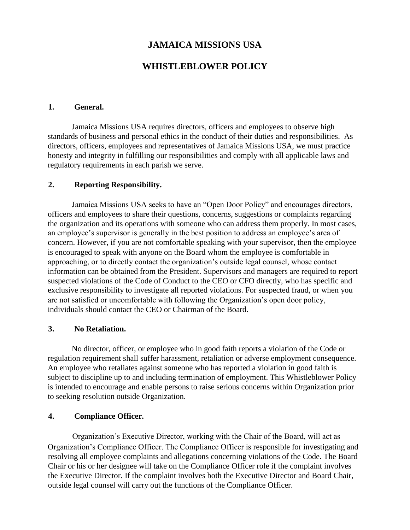# **JAMAICA MISSIONS USA**

# **WHISTLEBLOWER POLICY**

#### **1. General.**

Jamaica Missions USA requires directors, officers and employees to observe high standards of business and personal ethics in the conduct of their duties and responsibilities. As directors, officers, employees and representatives of Jamaica Missions USA, we must practice honesty and integrity in fulfilling our responsibilities and comply with all applicable laws and regulatory requirements in each parish we serve.

## **2. Reporting Responsibility.**

Jamaica Missions USA seeks to have an "Open Door Policy" and encourages directors, officers and employees to share their questions, concerns, suggestions or complaints regarding the organization and its operations with someone who can address them properly. In most cases, an employee's supervisor is generally in the best position to address an employee's area of concern. However, if you are not comfortable speaking with your supervisor, then the employee is encouraged to speak with anyone on the Board whom the employee is comfortable in approaching, or to directly contact the organization's outside legal counsel, whose contact information can be obtained from the President. Supervisors and managers are required to report suspected violations of the Code of Conduct to the CEO or CFO directly, who has specific and exclusive responsibility to investigate all reported violations. For suspected fraud, or when you are not satisfied or uncomfortable with following the Organization's open door policy, individuals should contact the CEO or Chairman of the Board.

### **3. No Retaliation.**

No director, officer, or employee who in good faith reports a violation of the Code or regulation requirement shall suffer harassment, retaliation or adverse employment consequence. An employee who retaliates against someone who has reported a violation in good faith is subject to discipline up to and including termination of employment. This Whistleblower Policy is intended to encourage and enable persons to raise serious concerns within Organization prior to seeking resolution outside Organization.

### **4. Compliance Officer.**

Organization's Executive Director, working with the Chair of the Board, will act as Organization's Compliance Officer. The Compliance Officer is responsible for investigating and resolving all employee complaints and allegations concerning violations of the Code. The Board Chair or his or her designee will take on the Compliance Officer role if the complaint involves the Executive Director. If the complaint involves both the Executive Director and Board Chair, outside legal counsel will carry out the functions of the Compliance Officer.